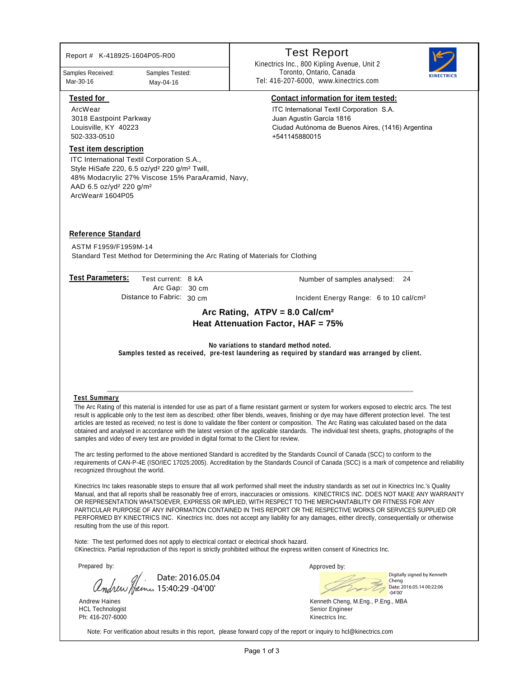| Report # K-418925-1604P05-R00                                                                                                                                                                   |                                              |                                                                                          | <b>Test Report</b>                                                                                                                                                                                                                                                                                                                                                                                                                                                                                                                                                                                                                                                     |                                                          |
|-------------------------------------------------------------------------------------------------------------------------------------------------------------------------------------------------|----------------------------------------------|------------------------------------------------------------------------------------------|------------------------------------------------------------------------------------------------------------------------------------------------------------------------------------------------------------------------------------------------------------------------------------------------------------------------------------------------------------------------------------------------------------------------------------------------------------------------------------------------------------------------------------------------------------------------------------------------------------------------------------------------------------------------|----------------------------------------------------------|
| Samples Received:<br>Mar-30-16                                                                                                                                                                  | Samples Tested:<br>May-04-16                 |                                                                                          | Kinectrics Inc., 800 Kipling Avenue, Unit 2<br>Toronto, Ontario, Canada<br>Tel: 416-207-6000, www.kinectrics.com                                                                                                                                                                                                                                                                                                                                                                                                                                                                                                                                                       |                                                          |
| <b>Tested for</b><br>ArcWear<br>3018 Eastpoint Parkway<br>Louisville, KY 40223<br>502-333-0510<br><b>Test item description</b><br>ITC International Textil Corporation S.A.,                    |                                              |                                                                                          | <b>Contact information for item tested:</b><br>ITC International Textil Corporation S.A.<br>Juan Agustín García 1816<br>Ciudad Autónoma de Buenos Aires, (1416) Argentina<br>+541145880015                                                                                                                                                                                                                                                                                                                                                                                                                                                                             |                                                          |
| Style HiSafe 220, 6.5 oz/yd <sup>2</sup> 220 g/m <sup>2</sup> Twill,<br>48% Modacrylic 27% Viscose 15% ParaAramid, Navy,<br>AAD 6.5 oz/yd <sup>2</sup> 220 g/m <sup>2</sup><br>ArcWear# 1604P05 |                                              |                                                                                          |                                                                                                                                                                                                                                                                                                                                                                                                                                                                                                                                                                                                                                                                        |                                                          |
| <b>Reference Standard</b><br>ASTM F1959/F1959M-14                                                                                                                                               |                                              |                                                                                          | Standard Test Method for Determining the Arc Rating of Materials for Clothing                                                                                                                                                                                                                                                                                                                                                                                                                                                                                                                                                                                          |                                                          |
| <b>Test Parameters:</b>                                                                                                                                                                         | Test current: 8 kA<br>Arc Gap: 30 cm         |                                                                                          | Number of samples analysed:                                                                                                                                                                                                                                                                                                                                                                                                                                                                                                                                                                                                                                            | 24                                                       |
|                                                                                                                                                                                                 | Distance to Fabric: 30 cm                    |                                                                                          | Incident Energy Range: 6 to 10 cal/cm <sup>2</sup>                                                                                                                                                                                                                                                                                                                                                                                                                                                                                                                                                                                                                     |                                                          |
|                                                                                                                                                                                                 |                                              |                                                                                          | Arc Rating, $ATPV = 8.0$ Cal/cm <sup>2</sup><br>Heat Attenuation Factor, HAF = 75%<br>No variations to standard method noted.<br>Samples tested as received, pre-test laundering as required by standard was arranged by client.                                                                                                                                                                                                                                                                                                                                                                                                                                       |                                                          |
|                                                                                                                                                                                                 |                                              |                                                                                          |                                                                                                                                                                                                                                                                                                                                                                                                                                                                                                                                                                                                                                                                        |                                                          |
| <b>Test Summary</b>                                                                                                                                                                             |                                              | samples and video of every test are provided in digital format to the Client for review. | The Arc Rating of this material is intended for use as part of a flame resistant garment or system for workers exposed to electric arcs. The test<br>result is applicable only to the test item as described; other fiber blends, weaves, finishing or dye may have different protection level. The test<br>articles are tested as received; no test is done to validate the fiber content or composition. The Arc Rating was calculated based on the data<br>obtained and analysed in accordance with the latest version of the applicable standards. The individual test sheets, graphs, photographs of the                                                          |                                                          |
| recognized throughout the world.                                                                                                                                                                |                                              |                                                                                          | The arc testing performed to the above mentioned Standard is accredited by the Standards Council of Canada (SCC) to conform to the<br>requirements of CAN-P-4E (ISO/IEC 17025:2005). Accreditation by the Standards Council of Canada (SCC) is a mark of competence and reliability                                                                                                                                                                                                                                                                                                                                                                                    |                                                          |
| resulting from the use of this report.                                                                                                                                                          |                                              |                                                                                          | Kinectrics Inc takes reasonable steps to ensure that all work performed shall meet the industry standards as set out in Kinectrics Inc.'s Quality<br>Manual, and that all reports shall be reasonably free of errors, inaccuracies or omissions. KINECTRICS INC. DOES NOT MAKE ANY WARRANTY<br>OR REPRESENTATION WHATSOEVER, EXPRESS OR IMPLIED, WITH RESPECT TO THE MERCHANTABILITY OR FITNESS FOR ANY<br>PARTICULAR PURPOSE OF ANY INFORMATION CONTAINED IN THIS REPORT OR THE RESPECTIVE WORKS OR SERVICES SUPPLIED OR<br>PERFORMED BY KINECTRICS INC. Kinectrics Inc. does not accept any liability for any damages, either directly, consequentially or otherwise |                                                          |
|                                                                                                                                                                                                 |                                              |                                                                                          | Note: The test performed does not apply to electrical contact or electrical shock hazard.<br>©Kinectrics. Partial reproduction of this report is strictly prohibited without the express written consent of Kinectrics Inc.                                                                                                                                                                                                                                                                                                                                                                                                                                            |                                                          |
| Prepared by:                                                                                                                                                                                    |                                              |                                                                                          | Approved by:                                                                                                                                                                                                                                                                                                                                                                                                                                                                                                                                                                                                                                                           |                                                          |
|                                                                                                                                                                                                 | Date: 2016.05.04<br>Compress 15:40:29-04'00' |                                                                                          | Cheng<br>$-04'00'$                                                                                                                                                                                                                                                                                                                                                                                                                                                                                                                                                                                                                                                     | Digitally signed by Kenneth<br>Date: 2016.05.14 00:22:06 |
| <b>Andrew Haines</b><br><b>HCL Technologist</b><br>Ph: 416-207-6000                                                                                                                             |                                              |                                                                                          | Kenneth Cheng, M.Eng., P.Eng., MBA<br>Senior Engineer<br>Kinectrics Inc.                                                                                                                                                                                                                                                                                                                                                                                                                                                                                                                                                                                               |                                                          |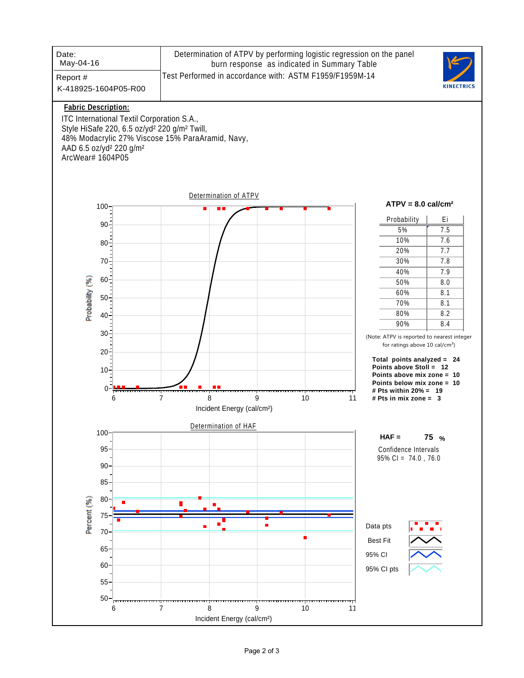